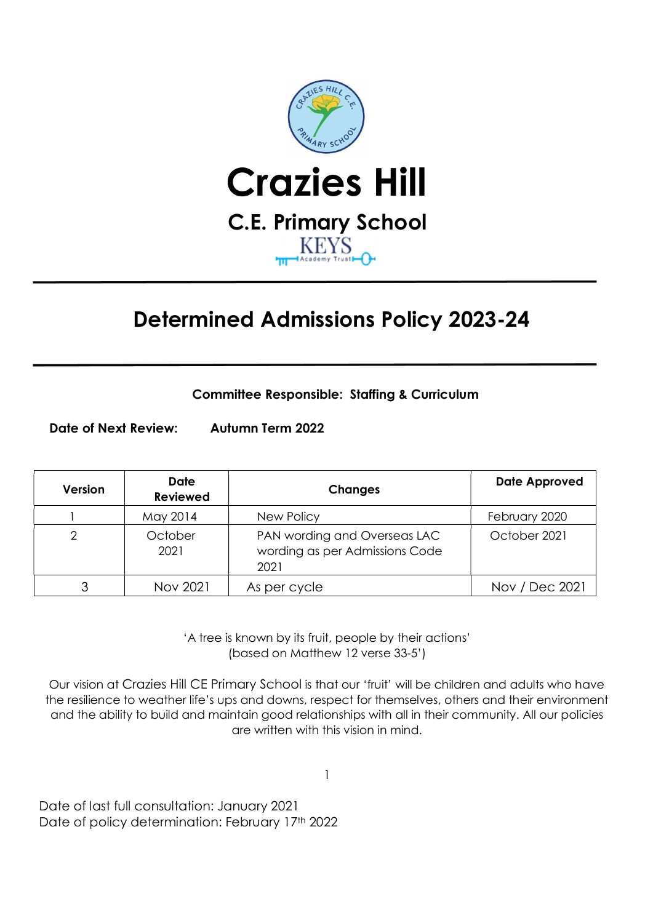

# Determined Admissions Policy 2023-24

a shekara

Committee Responsible: Staffing & Curriculum

Date of Next Review: Autumn Term 2022

| Version | <b>Date</b><br><b>Reviewed</b> | <b>Changes</b>                                                         | <b>Date Approved</b> |
|---------|--------------------------------|------------------------------------------------------------------------|----------------------|
|         | May 2014                       | New Policy                                                             | February 2020        |
| っ       | October<br>2021                | PAN wording and Overseas LAC<br>wording as per Admissions Code<br>2021 | October 2021         |
|         | Nov 2021                       | As per cycle                                                           | Nov / Dec 2021       |

 'A tree is known by its fruit, people by their actions' (based on Matthew 12 verse 33-5')

 Our vision at Crazies Hill CE Primary School is that our 'fruit' will be children and adults who have the resilience to weather life's ups and downs, respect for themselves, others and their environment and the ability to build and maintain good relationships with all in their community. All our policies are written with this vision in mind.

1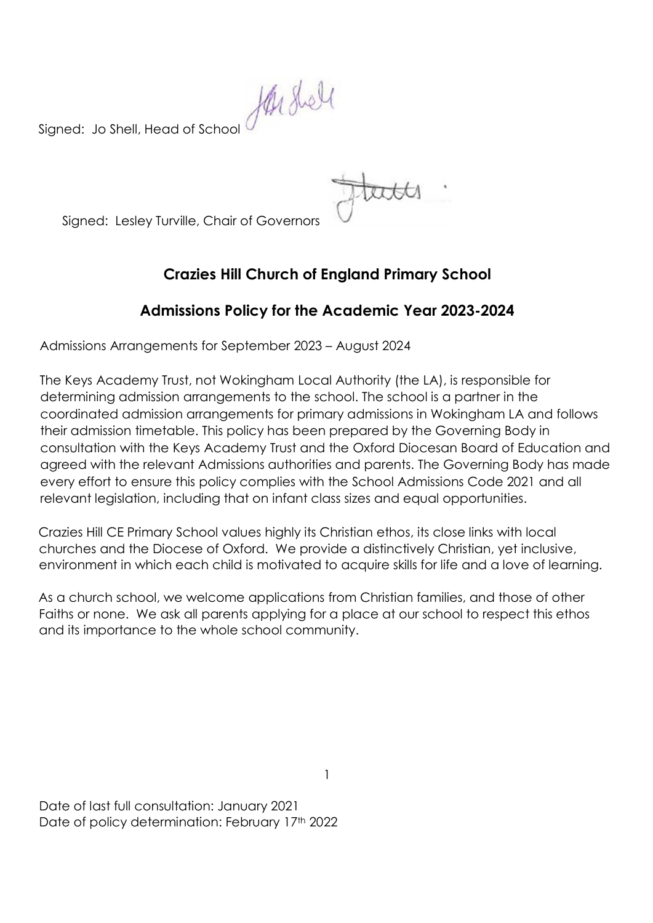Signed: Jo Shell, Head of School

Signed: Lesley Turville, Chair of Governors

# Crazies Hill Church of England Primary School

# Admissions Policy for the Academic Year 2023-2024

Admissions Arrangements for September 2023 – August 2024

The Keys Academy Trust, not Wokingham Local Authority (the LA), is responsible for determining admission arrangements to the school. The school is a partner in the coordinated admission arrangements for primary admissions in Wokingham LA and follows their admission timetable. This policy has been prepared by the Governing Body in consultation with the Keys Academy Trust and the Oxford Diocesan Board of Education and agreed with the relevant Admissions authorities and parents. The Governing Body has made every effort to ensure this policy complies with the School Admissions Code 2021 and all relevant legislation, including that on infant class sizes and equal opportunities.

Crazies Hill CE Primary School values highly its Christian ethos, its close links with local churches and the Diocese of Oxford. We provide a distinctively Christian, yet inclusive, environment in which each child is motivated to acquire skills for life and a love of learning.

As a church school, we welcome applications from Christian families, and those of other Faiths or none. We ask all parents applying for a place at our school to respect this ethos and its importance to the whole school community.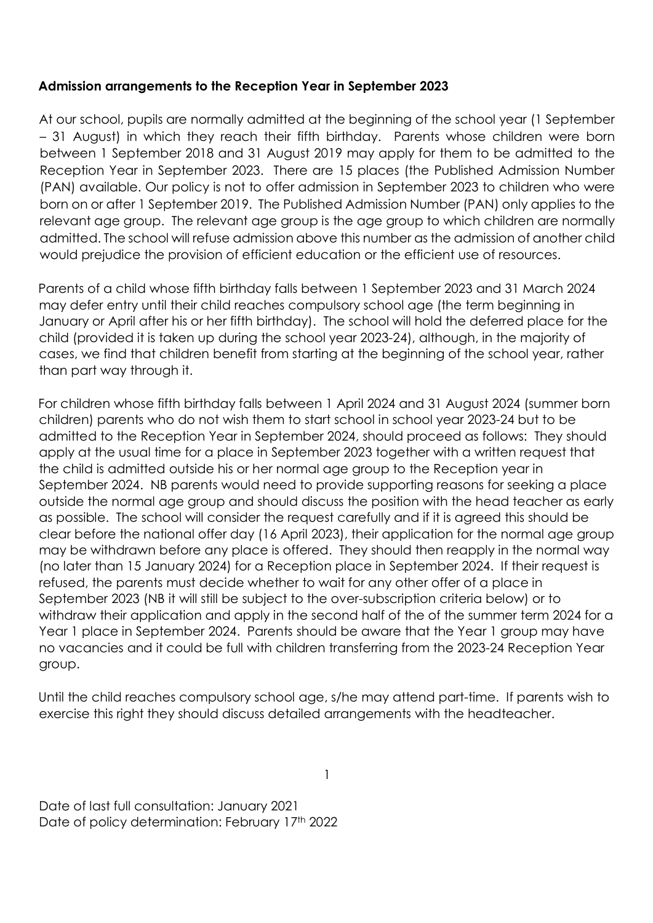## Admission arrangements to the Reception Year in September 2023

At our school, pupils are normally admitted at the beginning of the school year (1 September – 31 August) in which they reach their fifth birthday. Parents whose children were born between 1 September 2018 and 31 August 2019 may apply for them to be admitted to the Reception Year in September 2023. There are 15 places (the Published Admission Number (PAN) available. Our policy is not to offer admission in September 2023 to children who were born on or after 1 September 2019. The Published Admission Number (PAN) only applies to the relevant age group. The relevant age group is the age group to which children are normally admitted. The school will refuse admission above this number as the admission of another child would prejudice the provision of efficient education or the efficient use of resources.

Parents of a child whose fifth birthday falls between 1 September 2023 and 31 March 2024 may defer entry until their child reaches compulsory school age (the term beginning in January or April after his or her fifth birthday). The school will hold the deferred place for the child (provided it is taken up during the school year 2023-24), although, in the majority of cases, we find that children benefit from starting at the beginning of the school year, rather than part way through it.

For children whose fifth birthday falls between 1 April 2024 and 31 August 2024 (summer born children) parents who do not wish them to start school in school year 2023-24 but to be admitted to the Reception Year in September 2024, should proceed as follows: They should apply at the usual time for a place in September 2023 together with a written request that the child is admitted outside his or her normal age group to the Reception year in September 2024. NB parents would need to provide supporting reasons for seeking a place outside the normal age group and should discuss the position with the head teacher as early as possible. The school will consider the request carefully and if it is agreed this should be clear before the national offer day (16 April 2023), their application for the normal age group may be withdrawn before any place is offered. They should then reapply in the normal way (no later than 15 January 2024) for a Reception place in September 2024. If their request is refused, the parents must decide whether to wait for any other offer of a place in September 2023 (NB it will still be subject to the over-subscription criteria below) or to withdraw their application and apply in the second half of the of the summer term 2024 for a Year 1 place in September 2024. Parents should be aware that the Year 1 group may have no vacancies and it could be full with children transferring from the 2023-24 Reception Year group.

Until the child reaches compulsory school age, s/he may attend part-time. If parents wish to exercise this right they should discuss detailed arrangements with the headteacher.

1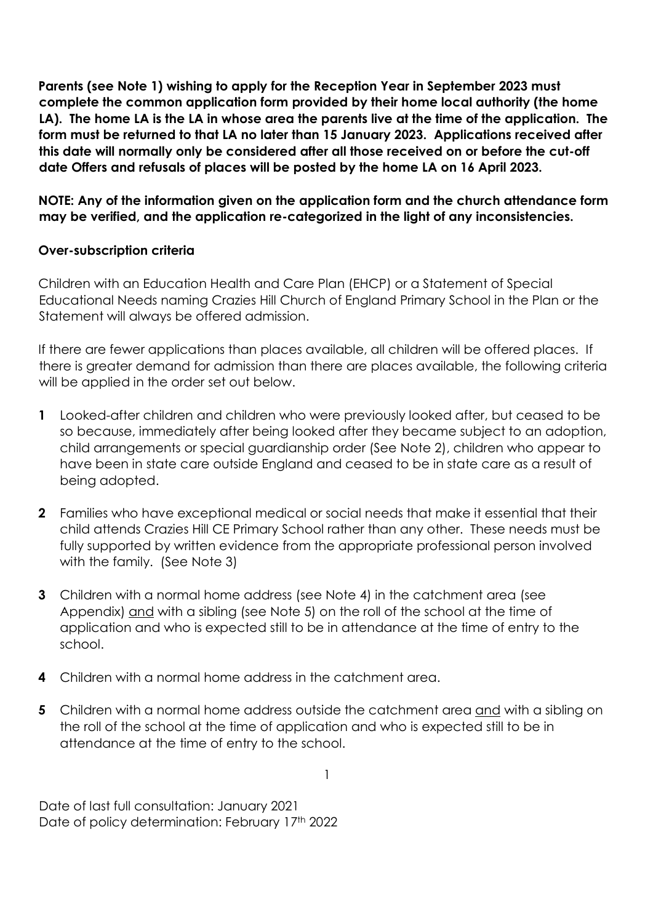Parents (see Note 1) wishing to apply for the Reception Year in September 2023 must complete the common application form provided by their home local authority (the home LA). The home LA is the LA in whose area the parents live at the time of the application. The form must be returned to that LA no later than 15 January 2023. Applications received after this date will normally only be considered after all those received on or before the cut-off date Offers and refusals of places will be posted by the home LA on 16 April 2023.

NOTE: Any of the information given on the application form and the church attendance form may be verified, and the application re-categorized in the light of any inconsistencies.

#### Over-subscription criteria

Children with an Education Health and Care Plan (EHCP) or a Statement of Special Educational Needs naming Crazies Hill Church of England Primary School in the Plan or the Statement will always be offered admission.

If there are fewer applications than places available, all children will be offered places. If there is greater demand for admission than there are places available, the following criteria will be applied in the order set out below.

- 1 Looked-after children and children who were previously looked after, but ceased to be so because, immediately after being looked after they became subject to an adoption, child arrangements or special guardianship order (See Note 2), children who appear to have been in state care outside England and ceased to be in state care as a result of being adopted.
- 2 Families who have exceptional medical or social needs that make it essential that their child attends Crazies Hill CE Primary School rather than any other. These needs must be fully supported by written evidence from the appropriate professional person involved with the family. (See Note 3)
- 3 Children with a normal home address (see Note 4) in the catchment area (see Appendix) and with a sibling (see Note 5) on the roll of the school at the time of application and who is expected still to be in attendance at the time of entry to the school.
- 4 Children with a normal home address in the catchment area.
- 5 Children with a normal home address outside the catchment area and with a sibling on the roll of the school at the time of application and who is expected still to be in attendance at the time of entry to the school.

1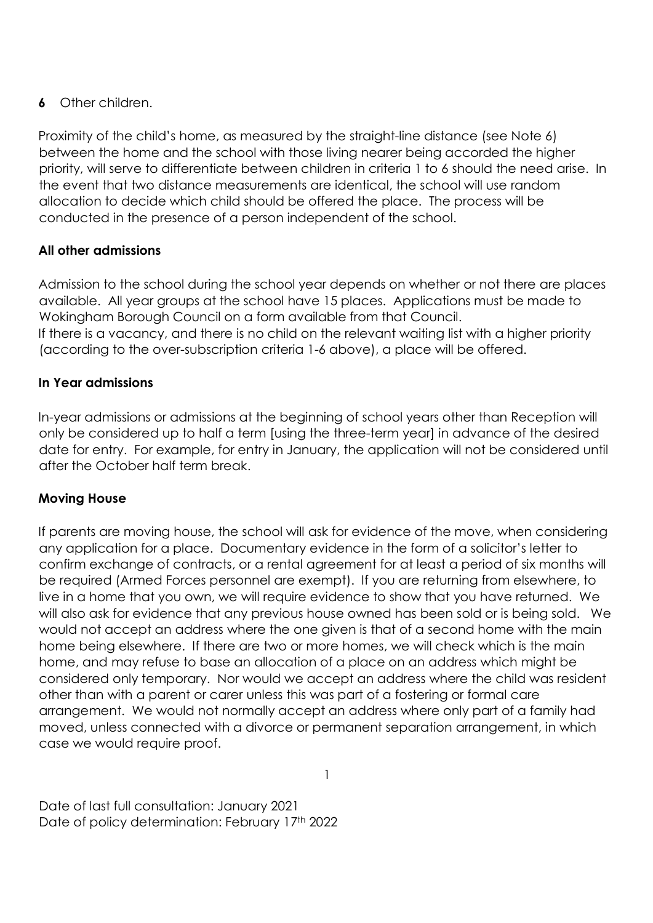# **6** Other children.

Proximity of the child's home, as measured by the straight-line distance (see Note 6) between the home and the school with those living nearer being accorded the higher priority, will serve to differentiate between children in criteria 1 to 6 should the need arise. In the event that two distance measurements are identical, the school will use random allocation to decide which child should be offered the place. The process will be conducted in the presence of a person independent of the school.

# All other admissions

Admission to the school during the school year depends on whether or not there are places available. All year groups at the school have 15 places. Applications must be made to Wokingham Borough Council on a form available from that Council. If there is a vacancy, and there is no child on the relevant waiting list with a higher priority (according to the over-subscription criteria 1-6 above), a place will be offered.

## In Year admissions

In-year admissions or admissions at the beginning of school years other than Reception will only be considered up to half a term [using the three-term year] in advance of the desired date for entry. For example, for entry in January, the application will not be considered until after the October half term break.

## Moving House

If parents are moving house, the school will ask for evidence of the move, when considering any application for a place. Documentary evidence in the form of a solicitor's letter to confirm exchange of contracts, or a rental agreement for at least a period of six months will be required (Armed Forces personnel are exempt). If you are returning from elsewhere, to live in a home that you own, we will require evidence to show that you have returned. We will also ask for evidence that any previous house owned has been sold or is being sold. We would not accept an address where the one given is that of a second home with the main home being elsewhere. If there are two or more homes, we will check which is the main home, and may refuse to base an allocation of a place on an address which might be considered only temporary. Nor would we accept an address where the child was resident other than with a parent or carer unless this was part of a fostering or formal care arrangement. We would not normally accept an address where only part of a family had moved, unless connected with a divorce or permanent separation arrangement, in which case we would require proof.

1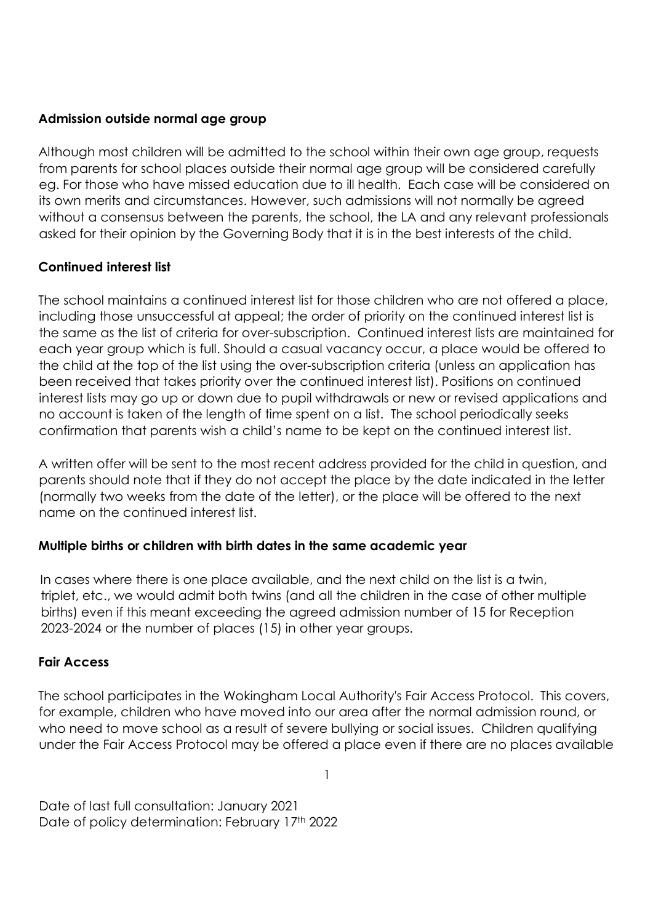#### Admission outside normal age group

Although most children will be admitted to the school within their own age group, requests from parents for school places outside their normal age group will be considered carefully eg. For those who have missed education due to ill health. Each case will be considered on its own merits and circumstances. However, such admissions will not normally be agreed without a consensus between the parents, the school, the LA and any relevant professionals asked for their opinion by the Governing Body that it is in the best interests of the child.

# Continued interest list

The school maintains a continued interest list for those children who are not offered a place, including those unsuccessful at appeal; the order of priority on the continued interest list is the same as the list of criteria for over-subscription. Continued interest lists are maintained for each year group which is full. Should a casual vacancy occur, a place would be offered to the child at the top of the list using the over-subscription criteria (unless an application has been received that takes priority over the continued interest list). Positions on continued interest lists may go up or down due to pupil withdrawals or new or revised applications and no account is taken of the length of time spent on a list. The school periodically seeks confirmation that parents wish a child's name to be kept on the continued interest list.

A written offer will be sent to the most recent address provided for the child in question, and parents should note that if they do not accept the place by the date indicated in the letter (normally two weeks from the date of the letter), or the place will be offered to the next name on the continued interest list.

## Multiple births or children with birth dates in the same academic year

In cases where there is one place available, and the next child on the list is a twin, triplet, etc., we would admit both twins (and all the children in the case of other multiple births) even if this meant exceeding the agreed admission number of 15 for Reception 2023-2024 or the number of places (15) in other year groups.

## Fair Access

The school participates in the Wokingham Local Authority's Fair Access Protocol. This covers, for example, children who have moved into our area after the normal admission round, or who need to move school as a result of severe bullying or social issues. Children qualifying under the Fair Access Protocol may be offered a place even if there are no places available

1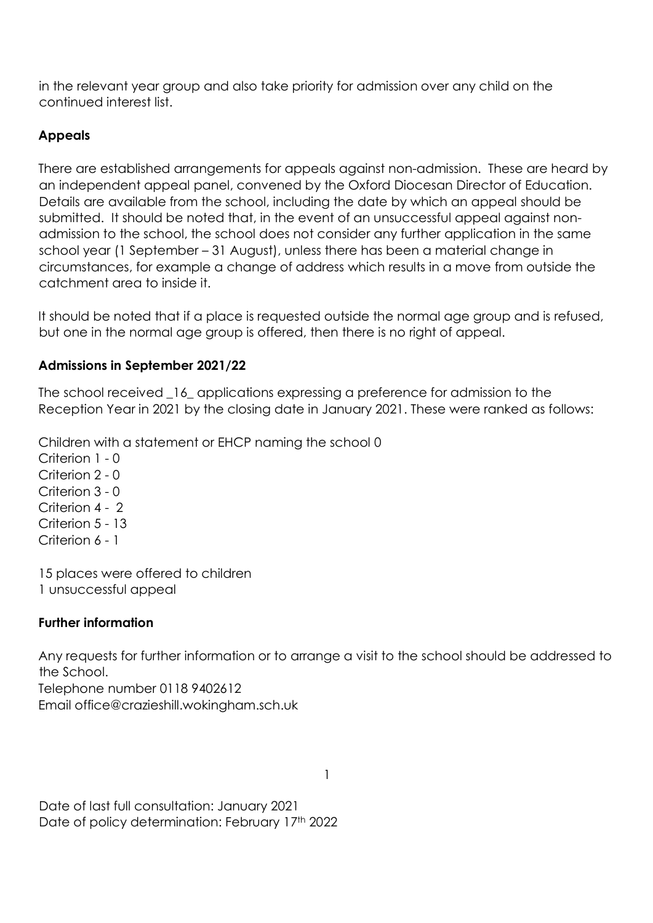in the relevant year group and also take priority for admission over any child on the continued interest list.

# Appeals

There are established arrangements for appeals against non-admission. These are heard by an independent appeal panel, convened by the Oxford Diocesan Director of Education. Details are available from the school, including the date by which an appeal should be submitted. It should be noted that, in the event of an unsuccessful appeal against nonadmission to the school, the school does not consider any further application in the same school year (1 September – 31 August), unless there has been a material change in circumstances, for example a change of address which results in a move from outside the catchment area to inside it.

It should be noted that if a place is requested outside the normal age group and is refused, but one in the normal age group is offered, then there is no right of appeal.

# Admissions in September 2021/22

The school received 16 applications expressing a preference for admission to the Reception Year in 2021 by the closing date in January 2021. These were ranked as follows:

Children with a statement or EHCP naming the school 0

Criterion 1 - 0 Criterion 2 - 0 Criterion 3 - 0 Criterion 4 - 2 Criterion 5 - 13 Criterion 6 - 1

15 places were offered to children 1 unsuccessful appeal

# Further information

Any requests for further information or to arrange a visit to the school should be addressed to the School. Telephone number 0118 9402612 Email office@crazieshill.wokingham.sch.uk

1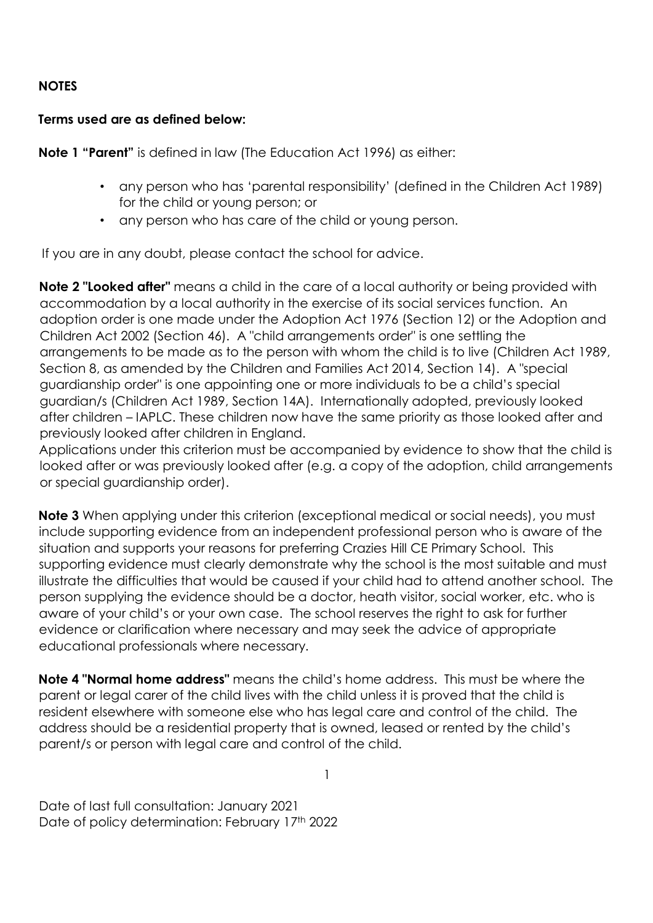## NOTES

## Terms used are as defined below:

Note 1 "Parent" is defined in law (The Education Act 1996) as either:

- any person who has 'parental responsibility' (defined in the Children Act 1989) for the child or young person; or
- any person who has care of the child or young person.

If you are in any doubt, please contact the school for advice.

Note 2 "Looked after" means a child in the care of a local authority or being provided with accommodation by a local authority in the exercise of its social services function. An adoption order is one made under the Adoption Act 1976 (Section 12) or the Adoption and Children Act 2002 (Section 46). A "child arrangements order" is one settling the arrangements to be made as to the person with whom the child is to live (Children Act 1989, Section 8, as amended by the Children and Families Act 2014, Section 14). A "special guardianship order" is one appointing one or more individuals to be a child's special guardian/s (Children Act 1989, Section 14A). Internationally adopted, previously looked after children – IAPLC. These children now have the same priority as those looked after and previously looked after children in England.

Applications under this criterion must be accompanied by evidence to show that the child is looked after or was previously looked after (e.g. a copy of the adoption, child arrangements or special guardianship order).

**Note 3** When applying under this criterion (exceptional medical or social needs), you must include supporting evidence from an independent professional person who is aware of the situation and supports your reasons for preferring Crazies Hill CE Primary School. This supporting evidence must clearly demonstrate why the school is the most suitable and must illustrate the difficulties that would be caused if your child had to attend another school. The person supplying the evidence should be a doctor, heath visitor, social worker, etc. who is aware of your child's or your own case. The school reserves the right to ask for further evidence or clarification where necessary and may seek the advice of appropriate educational professionals where necessary.

Note 4 "Normal home address" means the child's home address. This must be where the parent or legal carer of the child lives with the child unless it is proved that the child is resident elsewhere with someone else who has legal care and control of the child. The address should be a residential property that is owned, leased or rented by the child's parent/s or person with legal care and control of the child.

Date of last full consultation: January 2021 Date of policy determination: February 17<sup>th</sup> 2022

1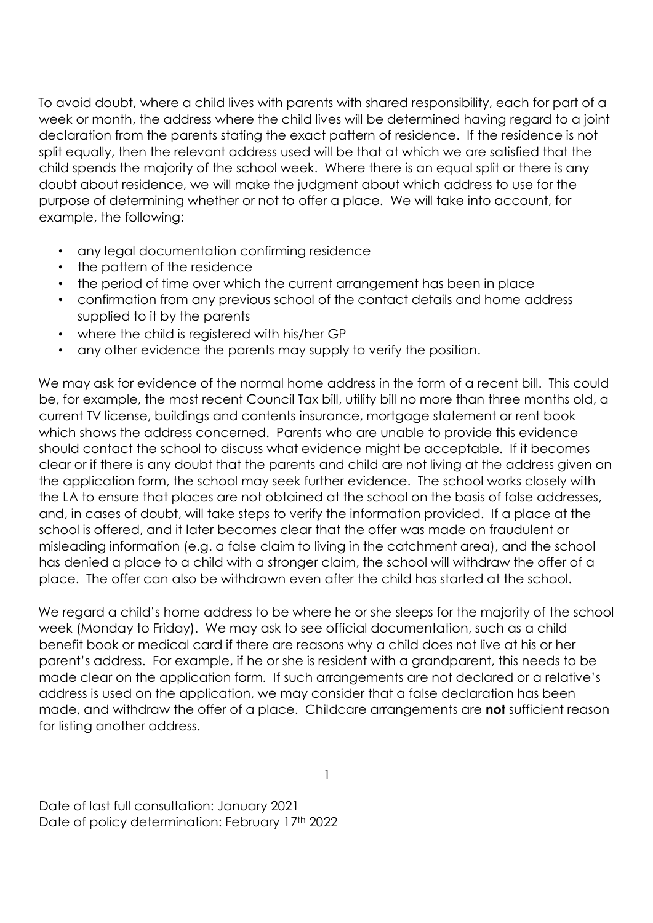To avoid doubt, where a child lives with parents with shared responsibility, each for part of a week or month, the address where the child lives will be determined having regard to a joint declaration from the parents stating the exact pattern of residence. If the residence is not split equally, then the relevant address used will be that at which we are satisfied that the child spends the majority of the school week. Where there is an equal split or there is any doubt about residence, we will make the judgment about which address to use for the purpose of determining whether or not to offer a place. We will take into account, for example, the following:

- any legal documentation confirming residence
- the pattern of the residence
- the period of time over which the current arrangement has been in place
- confirmation from any previous school of the contact details and home address supplied to it by the parents
- where the child is registered with his/her GP
- any other evidence the parents may supply to verify the position.

We may ask for evidence of the normal home address in the form of a recent bill. This could be, for example, the most recent Council Tax bill, utility bill no more than three months old, a current TV license, buildings and contents insurance, mortgage statement or rent book which shows the address concerned. Parents who are unable to provide this evidence should contact the school to discuss what evidence might be acceptable. If it becomes clear or if there is any doubt that the parents and child are not living at the address given on the application form, the school may seek further evidence. The school works closely with the LA to ensure that places are not obtained at the school on the basis of false addresses, and, in cases of doubt, will take steps to verify the information provided. If a place at the school is offered, and it later becomes clear that the offer was made on fraudulent or misleading information (e.g. a false claim to living in the catchment area), and the school has denied a place to a child with a stronger claim, the school will withdraw the offer of a place. The offer can also be withdrawn even after the child has started at the school.

We regard a child's home address to be where he or she sleeps for the majority of the school week (Monday to Friday). We may ask to see official documentation, such as a child benefit book or medical card if there are reasons why a child does not live at his or her parent's address. For example, if he or she is resident with a grandparent, this needs to be made clear on the application form. If such arrangements are not declared or a relative's address is used on the application, we may consider that a false declaration has been made, and withdraw the offer of a place. Childcare arrangements are not sufficient reason for listing another address.

1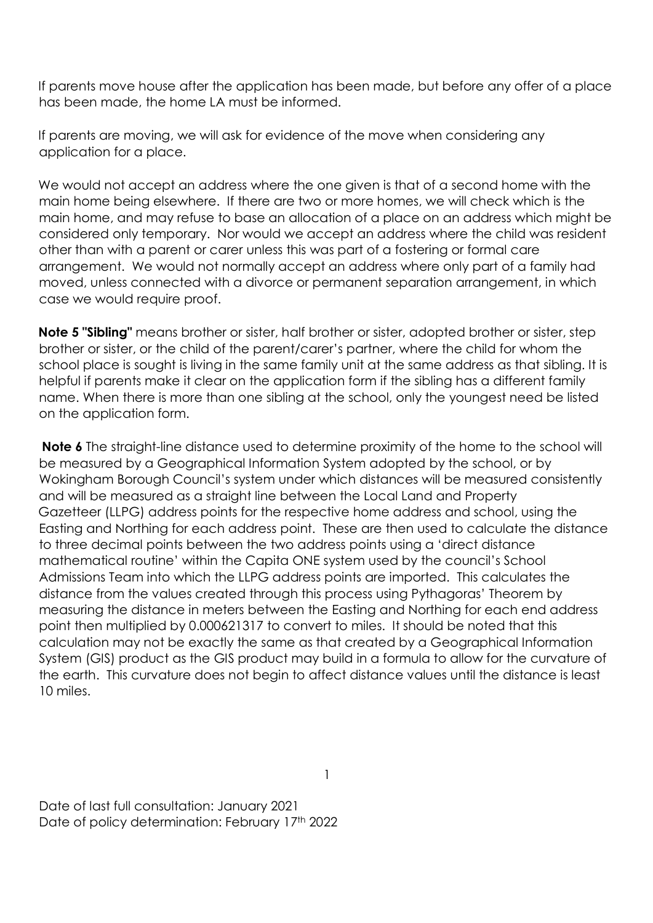If parents move house after the application has been made, but before any offer of a place has been made, the home LA must be informed.

If parents are moving, we will ask for evidence of the move when considering any application for a place.

We would not accept an address where the one given is that of a second home with the main home being elsewhere. If there are two or more homes, we will check which is the main home, and may refuse to base an allocation of a place on an address which might be considered only temporary. Nor would we accept an address where the child was resident other than with a parent or carer unless this was part of a fostering or formal care arrangement. We would not normally accept an address where only part of a family had moved, unless connected with a divorce or permanent separation arrangement, in which case we would require proof.

Note 5 "Sibling" means brother or sister, half brother or sister, adopted brother or sister, step brother or sister, or the child of the parent/carer's partner, where the child for whom the school place is sought is living in the same family unit at the same address as that sibling. It is helpful if parents make it clear on the application form if the sibling has a different family name. When there is more than one sibling at the school, only the youngest need be listed on the application form.

Note 6 The straight-line distance used to determine proximity of the home to the school will be measured by a Geographical Information System adopted by the school, or by Wokingham Borough Council's system under which distances will be measured consistently and will be measured as a straight line between the Local Land and Property Gazetteer (LLPG) address points for the respective home address and school, using the Easting and Northing for each address point. These are then used to calculate the distance to three decimal points between the two address points using a 'direct distance mathematical routine' within the Capita ONE system used by the council's School Admissions Team into which the LLPG address points are imported. This calculates the distance from the values created through this process using Pythagoras' Theorem by measuring the distance in meters between the Easting and Northing for each end address point then multiplied by 0.000621317 to convert to miles. It should be noted that this calculation may not be exactly the same as that created by a Geographical Information System (GIS) product as the GIS product may build in a formula to allow for the curvature of the earth. This curvature does not begin to affect distance values until the distance is least 10 miles.